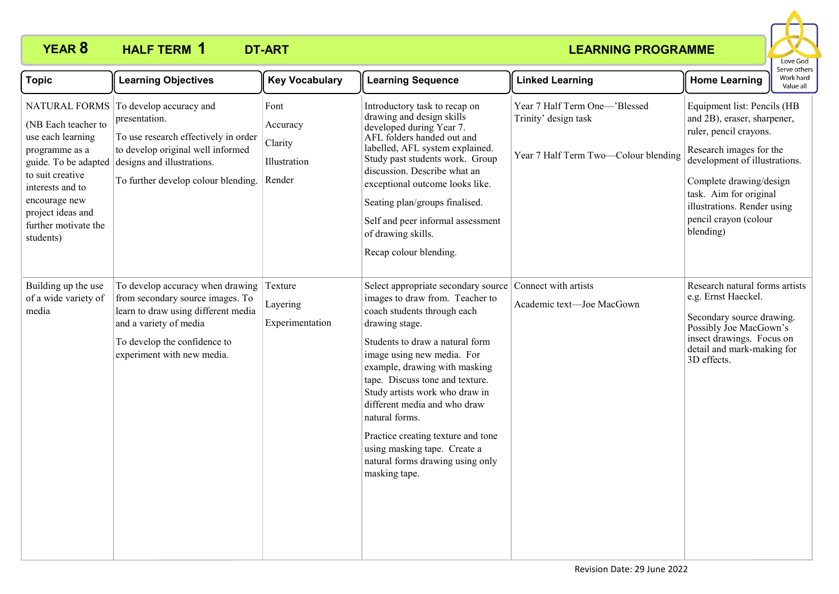

| <b>Topic</b>                                                                                                                                                                  | <b>Learning Objectives</b>                                                                                                                                                                                                    | <b>Key Vocabulary</b>                                 | <b>Learning Sequence</b>                                                                                                                                                                                                                                                                                                                                                                                                                                                    | <b>Linked Learning</b>                                                                        | <b>Home Learning</b>                                                                                                                                                                                                                                                       | Serve others<br>Work hard<br>Value all |
|-------------------------------------------------------------------------------------------------------------------------------------------------------------------------------|-------------------------------------------------------------------------------------------------------------------------------------------------------------------------------------------------------------------------------|-------------------------------------------------------|-----------------------------------------------------------------------------------------------------------------------------------------------------------------------------------------------------------------------------------------------------------------------------------------------------------------------------------------------------------------------------------------------------------------------------------------------------------------------------|-----------------------------------------------------------------------------------------------|----------------------------------------------------------------------------------------------------------------------------------------------------------------------------------------------------------------------------------------------------------------------------|----------------------------------------|
| (NB Each teacher to<br>use each learning<br>programme as a<br>to suit creative<br>interests and to<br>encourage new<br>project ideas and<br>further motivate the<br>students) | NATURAL FORMS To develop accuracy and<br>presentation.<br>To use research effectively in order<br>to develop original well informed<br>guide. To be adapted designs and illustrations.<br>To further develop colour blending. | Font<br>Accuracy<br>Clarity<br>Illustration<br>Render | Introductory task to recap on<br>drawing and design skills<br>developed during Year 7.<br>AFL folders handed out and<br>labelled, AFL system explained.<br>Study past students work. Group<br>discussion. Describe what an<br>exceptional outcome looks like.<br>Seating plan/groups finalised.<br>Self and peer informal assessment<br>of drawing skills.<br>Recap colour blending.                                                                                        | Year 7 Half Term One-'Blessed<br>Trinity' design task<br>Year 7 Half Term Two-Colour blending | Equipment list: Pencils (HB<br>and 2B), eraser, sharpener,<br>ruler, pencil crayons.<br>Research images for the<br>development of illustrations.<br>Complete drawing/design<br>task. Aim for original<br>illustrations. Render using<br>pencil crayon (colour<br>blending) |                                        |
| Building up the use<br>of a wide variety of<br>media                                                                                                                          | To develop accuracy when drawing<br>from secondary source images. To<br>learn to draw using different media<br>and a variety of media<br>To develop the confidence to<br>experiment with new media.                           | Texture<br>Layering<br>Experimentation                | Select appropriate secondary source<br>images to draw from. Teacher to<br>coach students through each<br>drawing stage.<br>Students to draw a natural form<br>image using new media. For<br>example, drawing with masking<br>tape. Discuss tone and texture.<br>Study artists work who draw in<br>different media and who draw<br>natural forms.<br>Practice creating texture and tone<br>using masking tape. Create a<br>natural forms drawing using only<br>masking tape. | Connect with artists<br>Academic text-Joe MacGown                                             | Research natural forms artists<br>e.g. Ernst Haeckel.<br>Secondary source drawing.<br>Possibly Joe MacGown's<br>insect drawings. Focus on<br>detail and mark-making for<br>3D effects.                                                                                     |                                        |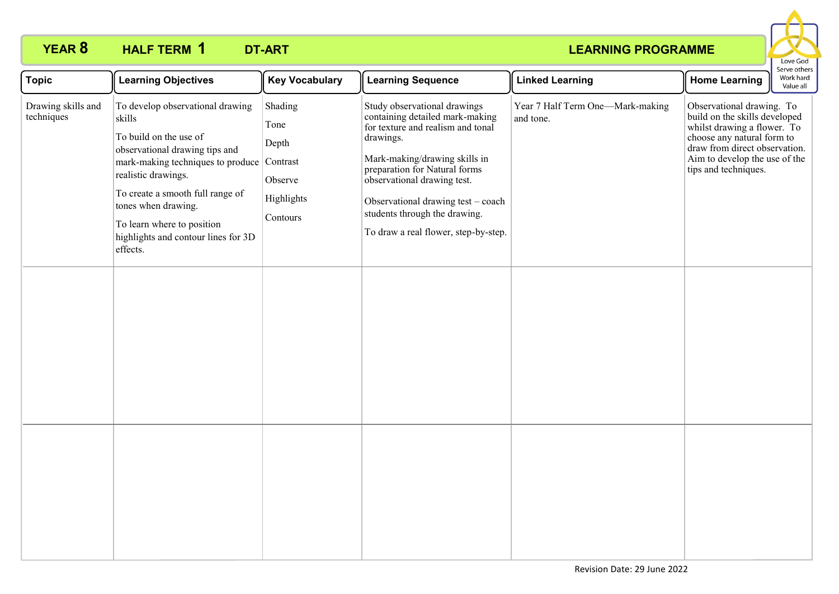

| <b>Topic</b>                     | <b>Learning Objectives</b>                                                                                                                                                                                                                                                                                              | <b>Key Vocabulary</b>                                         | <b>Learning Sequence</b>                                                                                                                                                                                                                                                                                                          | <b>Linked Learning</b>                        | <b>Home Learning</b>                                                                                                                                                                                              | Serve others<br>Work hard<br>Value all |
|----------------------------------|-------------------------------------------------------------------------------------------------------------------------------------------------------------------------------------------------------------------------------------------------------------------------------------------------------------------------|---------------------------------------------------------------|-----------------------------------------------------------------------------------------------------------------------------------------------------------------------------------------------------------------------------------------------------------------------------------------------------------------------------------|-----------------------------------------------|-------------------------------------------------------------------------------------------------------------------------------------------------------------------------------------------------------------------|----------------------------------------|
| Drawing skills and<br>techniques | To develop observational drawing<br>skills<br>To build on the use of<br>observational drawing tips and<br>mark-making techniques to produce Contrast<br>realistic drawings.<br>To create a smooth full range of<br>tones when drawing.<br>To learn where to position<br>highlights and contour lines for 3D<br>effects. | Shading<br>Tone<br>Depth<br>Observe<br>Highlights<br>Contours | Study observational drawings<br>containing detailed mark-making<br>for texture and realism and tonal<br>drawings.<br>Mark-making/drawing skills in<br>preparation for Natural forms<br>observational drawing test.<br>Observational drawing test - coach<br>students through the drawing.<br>To draw a real flower, step-by-step. | Year 7 Half Term One-Mark-making<br>and tone. | Observational drawing. To<br>build on the skills developed<br>whilst drawing a flower. To<br>choose any natural form to<br>draw from direct observation.<br>Aim to develop the use of the<br>tips and techniques. |                                        |
|                                  |                                                                                                                                                                                                                                                                                                                         |                                                               |                                                                                                                                                                                                                                                                                                                                   |                                               |                                                                                                                                                                                                                   |                                        |
|                                  |                                                                                                                                                                                                                                                                                                                         |                                                               |                                                                                                                                                                                                                                                                                                                                   |                                               |                                                                                                                                                                                                                   |                                        |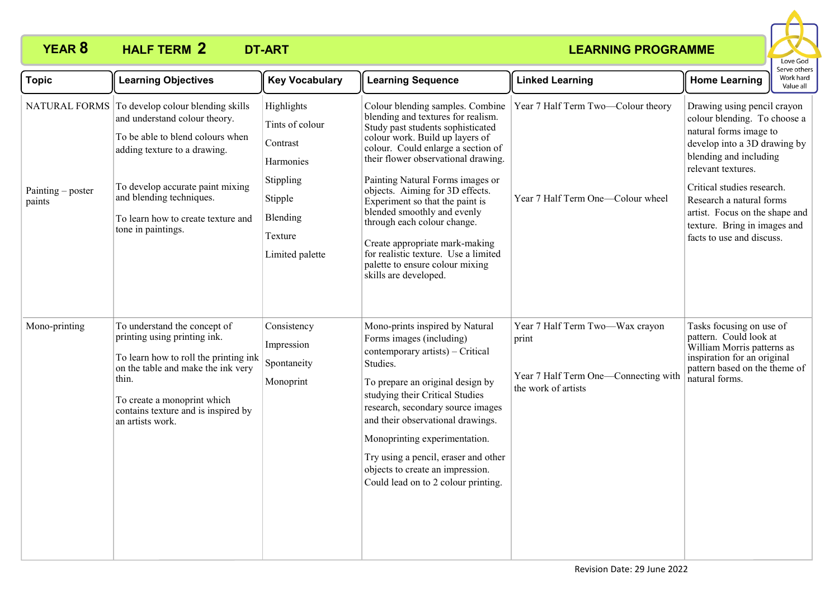

| <b>Topic</b>                | <b>Learning Objectives</b>                                                                                                                                                                                                                                                       | <b>Key Vocabulary</b>                                                                                                    | <b>Learning Sequence</b>                                                                                                                                                                                                                                                                                                                                                                                                                                                                                                                  | <b>Linked Learning</b>                                                                                  | יכו עכ טנווכו<br>Work hard<br><b>Home Learning</b><br>Value all                                                                                                                                                                                                                                                                |
|-----------------------------|----------------------------------------------------------------------------------------------------------------------------------------------------------------------------------------------------------------------------------------------------------------------------------|--------------------------------------------------------------------------------------------------------------------------|-------------------------------------------------------------------------------------------------------------------------------------------------------------------------------------------------------------------------------------------------------------------------------------------------------------------------------------------------------------------------------------------------------------------------------------------------------------------------------------------------------------------------------------------|---------------------------------------------------------------------------------------------------------|--------------------------------------------------------------------------------------------------------------------------------------------------------------------------------------------------------------------------------------------------------------------------------------------------------------------------------|
| Painting – poster<br>paints | NATURAL FORMS To develop colour blending skills<br>and understand colour theory.<br>To be able to blend colours when<br>adding texture to a drawing.<br>To develop accurate paint mixing<br>and blending techniques.<br>To learn how to create texture and<br>tone in paintings. | Highlights<br>Tints of colour<br>Contrast<br>Harmonies<br>Stippling<br>Stipple<br>Blending<br>Texture<br>Limited palette | Colour blending samples. Combine<br>blending and textures for realism.<br>Study past students sophisticated<br>colour work. Build up layers of<br>colour. Could enlarge a section of<br>their flower observational drawing.<br>Painting Natural Forms images or<br>objects. Aiming for 3D effects.<br>Experiment so that the paint is<br>blended smoothly and evenly<br>through each colour change.<br>Create appropriate mark-making<br>for realistic texture. Use a limited<br>palette to ensure colour mixing<br>skills are developed. | Year 7 Half Term Two-Colour theory<br>Year 7 Half Term One-Colour wheel                                 | Drawing using pencil crayon<br>colour blending. To choose a<br>natural forms image to<br>develop into a 3D drawing by<br>blending and including<br>relevant textures.<br>Critical studies research.<br>Research a natural forms<br>artist. Focus on the shape and<br>texture. Bring in images and<br>facts to use and discuss. |
| Mono-printing               | To understand the concept of<br>printing using printing ink.<br>To learn how to roll the printing ink<br>on the table and make the ink very<br>thin.<br>To create a monoprint which<br>contains texture and is inspired by<br>an artists work.                                   | Consistency<br>Impression<br>Spontaneity<br>Monoprint                                                                    | Mono-prints inspired by Natural<br>Forms images (including)<br>contemporary artists) - Critical<br>Studies.<br>To prepare an original design by<br>studying their Critical Studies<br>research, secondary source images<br>and their observational drawings.<br>Monoprinting experimentation.<br>Try using a pencil, eraser and other<br>objects to create an impression.<br>Could lead on to 2 colour printing.                                                                                                                          | Year 7 Half Term Two-Wax crayon<br>print<br>Year 7 Half Term One-Connecting with<br>the work of artists | Tasks focusing on use of<br>pattern. Could look at<br>William Morris patterns as<br>inspiration for an original<br>pattern based on the theme of<br>natural forms.                                                                                                                                                             |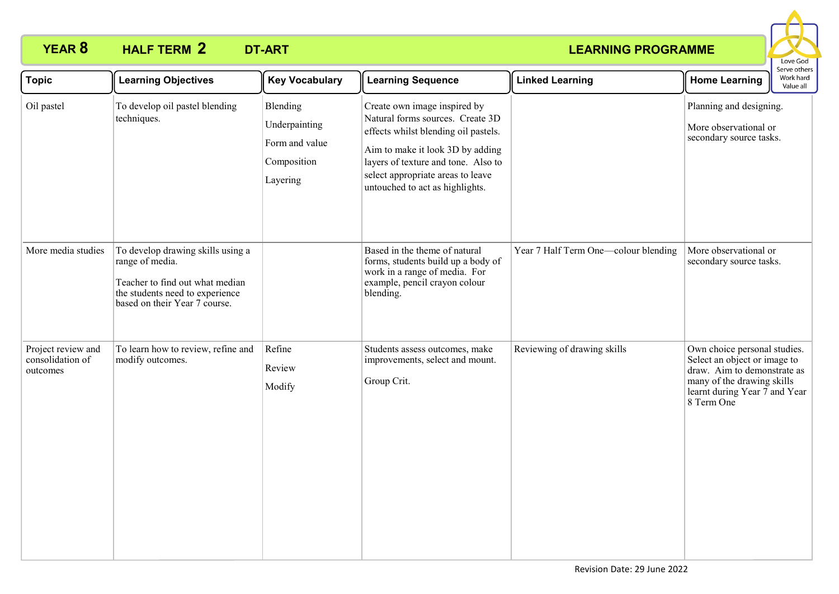

| <b>Topic</b>                                       | <b>Learning Objectives</b>                                                                                                                                  | <b>Key Vocabulary</b>                                                  | <b>Learning Sequence</b>                                                                                                                                                                                                                                    | <b>Linked Learning</b>               | <b>Home Learning</b>                                                                                                                                                     | Serve others<br>Work hard<br>Value all |
|----------------------------------------------------|-------------------------------------------------------------------------------------------------------------------------------------------------------------|------------------------------------------------------------------------|-------------------------------------------------------------------------------------------------------------------------------------------------------------------------------------------------------------------------------------------------------------|--------------------------------------|--------------------------------------------------------------------------------------------------------------------------------------------------------------------------|----------------------------------------|
| Oil pastel                                         | To develop oil pastel blending<br>techniques.                                                                                                               | Blending<br>Underpainting<br>Form and value<br>Composition<br>Layering | Create own image inspired by<br>Natural forms sources. Create 3D<br>effects whilst blending oil pastels.<br>Aim to make it look 3D by adding<br>layers of texture and tone. Also to<br>select appropriate areas to leave<br>untouched to act as highlights. |                                      | Planning and designing.<br>More observational or<br>secondary source tasks.                                                                                              |                                        |
| More media studies                                 | To develop drawing skills using a<br>range of media.<br>Teacher to find out what median<br>the students need to experience<br>based on their Year 7 course. |                                                                        | Based in the theme of natural<br>forms, students build up a body of<br>work in a range of media. For<br>example, pencil crayon colour<br>blending.                                                                                                          | Year 7 Half Term One—colour blending | More observational or<br>secondary source tasks.                                                                                                                         |                                        |
| Project review and<br>consolidation of<br>outcomes | To learn how to review, refine and<br>modify outcomes.                                                                                                      | Refine<br>Review<br>Modify                                             | Students assess outcomes, make<br>improvements, select and mount.<br>Group Crit.                                                                                                                                                                            | Reviewing of drawing skills          | Own choice personal studies.<br>Select an object or image to<br>draw. Aim to demonstrate as<br>many of the drawing skills<br>learnt during Year 7 and Year<br>8 Term One |                                        |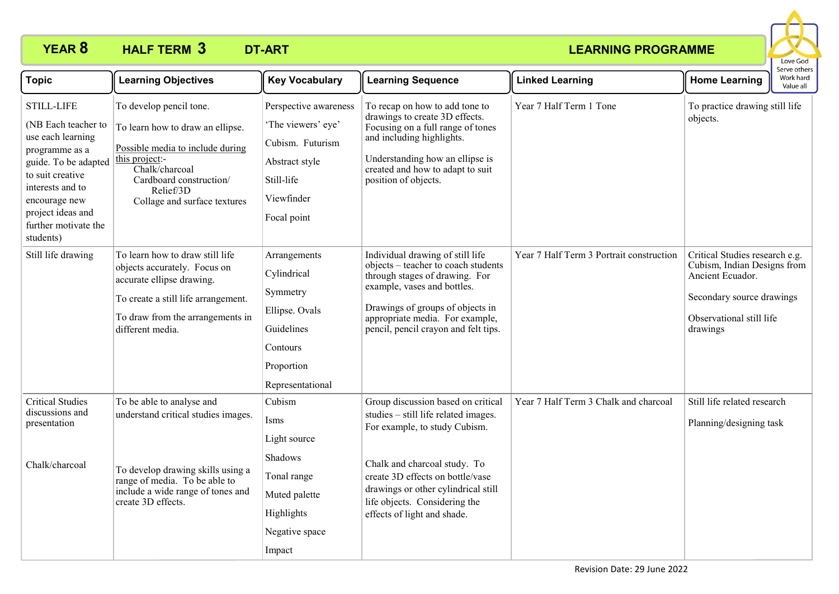

| <b>Topic</b>                                                                                                                                                                                                               | <b>Learning Objectives</b>                                                                                                                                                                                  | <b>Key Vocabulary</b>                                                                                                        | <b>Learning Sequence</b>                                                                                                                                                                                                                                                               | <b>Linked Learning</b>                   | erve other:<br>Work hard<br><b>Home Learning</b><br>Value all                                                                                          |  |
|----------------------------------------------------------------------------------------------------------------------------------------------------------------------------------------------------------------------------|-------------------------------------------------------------------------------------------------------------------------------------------------------------------------------------------------------------|------------------------------------------------------------------------------------------------------------------------------|----------------------------------------------------------------------------------------------------------------------------------------------------------------------------------------------------------------------------------------------------------------------------------------|------------------------------------------|--------------------------------------------------------------------------------------------------------------------------------------------------------|--|
| <b>STILL-LIFE</b><br>(NB Each teacher to<br>use each learning<br>programme as a<br>guide. To be adapted<br>to suit creative<br>interests and to<br>encourage new<br>project ideas and<br>further motivate the<br>students) | To develop pencil tone.<br>To learn how to draw an ellipse.<br>Possible media to include during<br>this project:-<br>Chalk/charcoal<br>Cardboard construction/<br>Relief/3D<br>Collage and surface textures | Perspective awareness<br>'The viewers' eye'<br>Cubism. Futurism<br>Abstract style<br>Still-life<br>Viewfinder<br>Focal point | To recap on how to add tone to<br>drawings to create 3D effects.<br>Focusing on a full range of tones<br>and including highlights.<br>Understanding how an ellipse is<br>created and how to adapt to suit<br>position of objects.                                                      | Year 7 Half Term 1 Tone                  | To practice drawing still life<br>objects.                                                                                                             |  |
| Still life drawing                                                                                                                                                                                                         | To learn how to draw still life<br>objects accurately. Focus on<br>accurate ellipse drawing.<br>To create a still life arrangement.<br>To draw from the arrangements in<br>different media.                 | Arrangements<br>Cylindrical<br>Symmetry<br>Ellipse. Ovals<br>Guidelines<br>Contours<br>Proportion<br>Representational        | Individual drawing of still life<br>objects - teacher to coach students<br>through stages of drawing. For<br>example, vases and bottles.<br>Drawings of groups of objects in<br>appropriate media. For example,<br>pencil, pencil crayon and felt tips.                                | Year 7 Half Term 3 Portrait construction | Critical Studies research e.g.<br>Cubism, Indian Designs from<br>Ancient Ecuador.<br>Secondary source drawings<br>Observational still life<br>drawings |  |
| <b>Critical Studies</b><br>discussions and<br>presentation<br>Chalk/charcoal                                                                                                                                               | To be able to analyse and<br>understand critical studies images.<br>To develop drawing skills using a<br>range of media. To be able to<br>include a wide range of tones and<br>create 3D effects.           | Cubism<br>Isms<br>Light source<br>Shadows<br>Tonal range<br>Muted palette<br>Highlights<br>Negative space<br>Impact          | Group discussion based on critical<br>studies - still life related images.<br>For example, to study Cubism.<br>Chalk and charcoal study. To<br>create 3D effects on bottle/vase<br>drawings or other cylindrical still<br>life objects. Considering the<br>effects of light and shade. | Year 7 Half Term 3 Chalk and charcoal    | Still life related research<br>Planning/designing task                                                                                                 |  |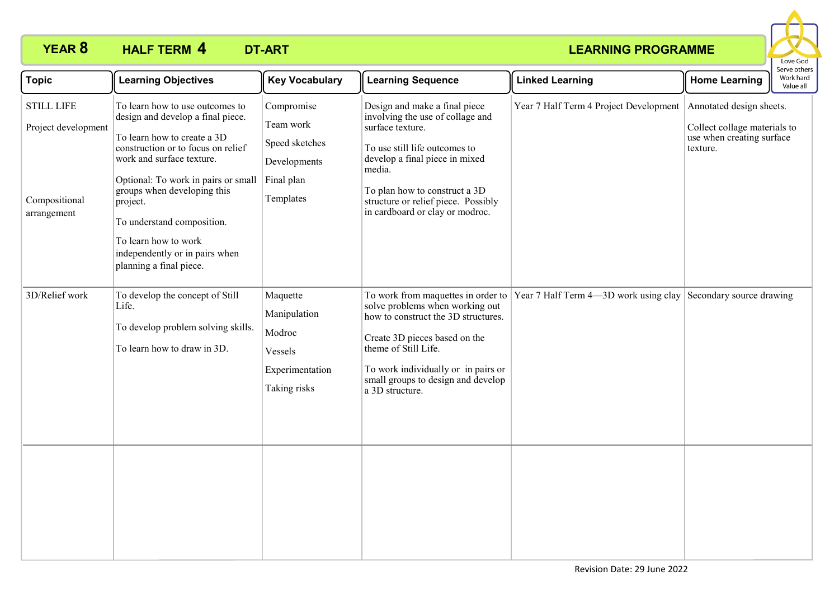

| <b>Topic</b>                                                             | <b>Learning Objectives</b>                                                                                                                                                                                                                                                                                                                                                  | <b>Key Vocabulary</b>                                                                | <b>Learning Sequence</b>                                                                                                                                                                                                                                                      | <b>Linked Learning</b>                                         | <b>Home Learning</b>                                                                              | Serve others<br>Work hard<br>Value all |
|--------------------------------------------------------------------------|-----------------------------------------------------------------------------------------------------------------------------------------------------------------------------------------------------------------------------------------------------------------------------------------------------------------------------------------------------------------------------|--------------------------------------------------------------------------------------|-------------------------------------------------------------------------------------------------------------------------------------------------------------------------------------------------------------------------------------------------------------------------------|----------------------------------------------------------------|---------------------------------------------------------------------------------------------------|----------------------------------------|
| <b>STILL LIFE</b><br>Project development<br>Compositional<br>arrangement | To learn how to use outcomes to<br>design and develop a final piece.<br>To learn how to create a 3D<br>construction or to focus on relief<br>work and surface texture.<br>Optional: To work in pairs or small<br>groups when developing this<br>project.<br>To understand composition.<br>To learn how to work<br>independently or in pairs when<br>planning a final piece. | Compromise<br>Team work<br>Speed sketches<br>Developments<br>Final plan<br>Templates | Design and make a final piece<br>involving the use of collage and<br>surface texture.<br>To use still life outcomes to<br>develop a final piece in mixed<br>media.<br>To plan how to construct a 3D<br>structure or relief piece. Possibly<br>in cardboard or clay or modroc. | Year 7 Half Term 4 Project Development                         | Annotated design sheets.<br>Collect collage materials to<br>use when creating surface<br>texture. |                                        |
| 3D/Relief work                                                           | To develop the concept of Still<br>Life.<br>To develop problem solving skills.<br>To learn how to draw in 3D.                                                                                                                                                                                                                                                               | Maquette<br>Manipulation<br>Modroc<br>Vessels<br>Experimentation<br>Taking risks     | To work from maquettes in order to<br>solve problems when working out<br>how to construct the 3D structures.<br>Create 3D pieces based on the<br>theme of Still Life.<br>To work individually or in pairs or<br>small groups to design and develop<br>a 3D structure.         | Year 7 Half Term 4—3D work using clay Secondary source drawing |                                                                                                   |                                        |
|                                                                          |                                                                                                                                                                                                                                                                                                                                                                             |                                                                                      |                                                                                                                                                                                                                                                                               |                                                                |                                                                                                   |                                        |